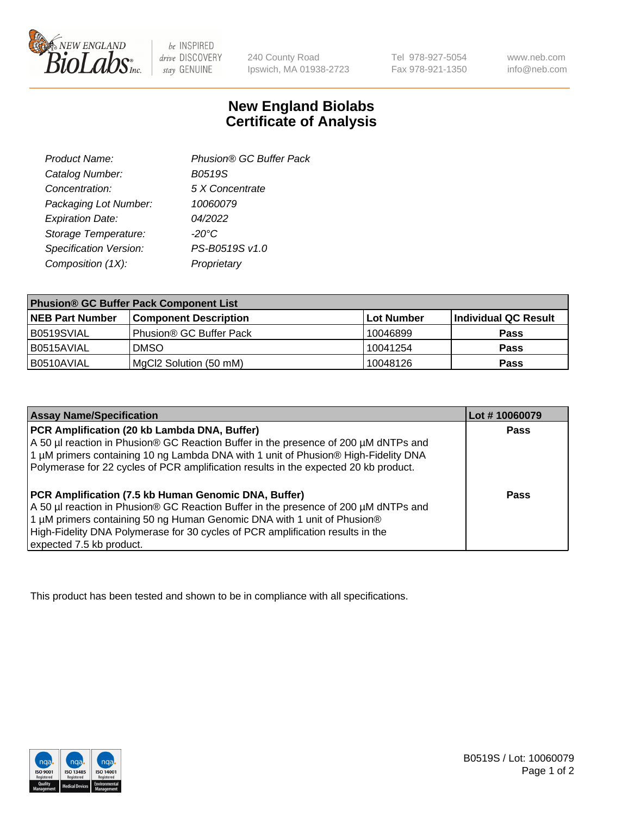

 $be$  INSPIRED drive DISCOVERY stay GENUINE

240 County Road Ipswich, MA 01938-2723 Tel 978-927-5054 Fax 978-921-1350 www.neb.com info@neb.com

## **New England Biolabs Certificate of Analysis**

| Product Name:           | Phusion® GC Buffer Pack |
|-------------------------|-------------------------|
| Catalog Number:         | B0519S                  |
| Concentration:          | 5 X Concentrate         |
| Packaging Lot Number:   | 10060079                |
| <b>Expiration Date:</b> | 04/2022                 |
| Storage Temperature:    | $-20^{\circ}$ C         |
| Specification Version:  | PS-B0519S v1.0          |
| Composition (1X):       | Proprietary             |
|                         |                         |

| <b>Phusion® GC Buffer Pack Component List</b> |                              |             |                      |  |
|-----------------------------------------------|------------------------------|-------------|----------------------|--|
| <b>NEB Part Number</b>                        | <b>Component Description</b> | ∣Lot Number | Individual QC Result |  |
| B0519SVIAL                                    | Phusion® GC Buffer Pack      | 10046899    | <b>Pass</b>          |  |
| B0515AVIAL                                    | <b>DMSO</b>                  | 10041254    | <b>Pass</b>          |  |
| B0510AVIAL                                    | MgCl2 Solution (50 mM)       | 10048126    | <b>Pass</b>          |  |

| <b>Assay Name/Specification</b>                                                                                                                                                                                                                                                                                                      | Lot #10060079 |
|--------------------------------------------------------------------------------------------------------------------------------------------------------------------------------------------------------------------------------------------------------------------------------------------------------------------------------------|---------------|
| PCR Amplification (20 kb Lambda DNA, Buffer)<br>A 50 µl reaction in Phusion® GC Reaction Buffer in the presence of 200 µM dNTPs and<br>1 μM primers containing 10 ng Lambda DNA with 1 unit of Phusion® High-Fidelity DNA<br>Polymerase for 22 cycles of PCR amplification results in the expected 20 kb product.                    | <b>Pass</b>   |
| PCR Amplification (7.5 kb Human Genomic DNA, Buffer)<br>A 50 µl reaction in Phusion® GC Reaction Buffer in the presence of 200 µM dNTPs and<br>1 µM primers containing 50 ng Human Genomic DNA with 1 unit of Phusion®<br>High-Fidelity DNA Polymerase for 30 cycles of PCR amplification results in the<br>expected 7.5 kb product. | Pass          |

This product has been tested and shown to be in compliance with all specifications.